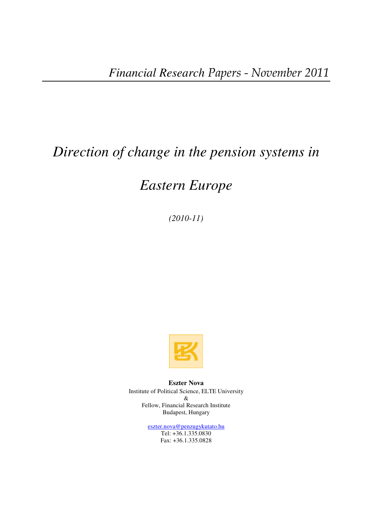# *Direction of change in the pension systems in*

# *Eastern Europe*

*(2010-11)* 



**Eszter Nova**  Institute of Political Science, ELTE University & Fellow, Financial Research Institute Budapest, Hungary

> eszter.nova@penzugykutato.hu Tel: +36.1.335.0830 Fax: +36.1.335.0828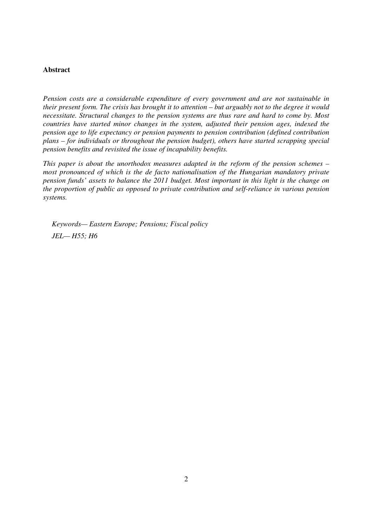# **Abstract**

*Pension costs are a considerable expenditure of every government and are not sustainable in their present form. The crisis has brought it to attention – but arguably not to the degree it would necessitate. Structural changes to the pension systems are thus rare and hard to come by. Most countries have started minor changes in the system, adjusted their pension ages, indexed the pension age to life expectancy or pension payments to pension contribution (defined contribution plans – for individuals or throughout the pension budget), others have started scrapping special pension benefits and revisited the issue of incapability benefits.* 

*This paper is about the unorthodox measures adapted in the reform of the pension schemes – most pronounced of which is the de facto nationalisation of the Hungarian mandatory private pension funds' assets to balance the 2011 budget. Most important in this light is the change on the proportion of public as opposed to private contribution and self-reliance in various pension systems.* 

*Keywords— Eastern Europe; Pensions; Fiscal policy JEL— H55; H6*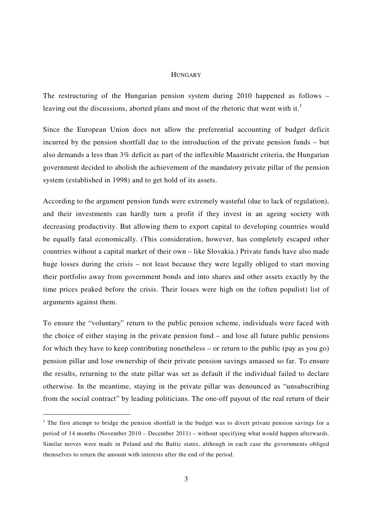### **HUNGARY**

The restructuring of the Hungarian pension system during 2010 happened as follows – leaving out the discussions, aborted plans and most of the rhetoric that went with it.<sup>1</sup>

Since the European Union does not allow the preferential accounting of budget deficit incurred by the pension shortfall due to the introduction of the private pension funds – but also demands a less than 3% deficit as part of the inflexible Maastricht criteria, the Hungarian government decided to abolish the achievement of the mandatory private pillar of the pension system (established in 1998) and to get hold of its assets.

According to the argument pension funds were extremely wasteful (due to lack of regulation), and their investments can hardly turn a profit if they invest in an ageing society with decreasing productivity. But allowing them to export capital to developing countries would be equally fatal economically. (This consideration, however, has completely escaped other countries without a capital market of their own – like Slovakia.) Private funds have also made huge losses during the crisis – not least because they were legally obliged to start moving their portfolio away from government bonds and into shares and other assets exactly by the time prices peaked before the crisis. Their losses were high on the (often populist) list of arguments against them.

To ensure the "voluntary" return to the public pension scheme, individuals were faced with the choice of either staying in the private pension fund – and lose all future public pensions for which they have to keep contributing nonetheless – or return to the public (pay as you go) pension pillar and lose ownership of their private pension savings amassed so far. To ensure the results, returning to the state pillar was set as default if the individual failed to declare otherwise. In the meantime, staying in the private pillar was denounced as "unsubscribing from the social contract" by leading politicians. The one-off payout of the real return of their

<sup>&</sup>lt;sup>1</sup> The first attempt to bridge the pension shortfall in the budget was to divert private pension savings for a period of 14 months (November 2010 – December 2011) – without specifying what would happen afterwards. Similar moves were made in Poland and the Baltic states, although in each case the governments obliged themselves to return the amount with interests after the end of the period.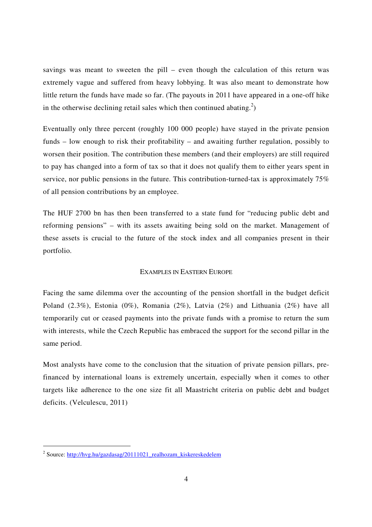savings was meant to sweeten the pill – even though the calculation of this return was extremely vague and suffered from heavy lobbying. It was also meant to demonstrate how little return the funds have made so far. (The payouts in 2011 have appeared in a one-off hike in the otherwise declining retail sales which then continued abating.<sup>2</sup>)

Eventually only three percent (roughly 100 000 people) have stayed in the private pension funds – low enough to risk their profitability – and awaiting further regulation, possibly to worsen their position. The contribution these members (and their employers) are still required to pay has changed into a form of tax so that it does not qualify them to either years spent in service, nor public pensions in the future. This contribution-turned-tax is approximately 75% of all pension contributions by an employee.

The HUF 2700 bn has then been transferred to a state fund for "reducing public debt and reforming pensions" – with its assets awaiting being sold on the market. Management of these assets is crucial to the future of the stock index and all companies present in their portfolio.

## EXAMPLES IN EASTERN EUROPE

Facing the same dilemma over the accounting of the pension shortfall in the budget deficit Poland (2.3%), Estonia (0%), Romania (2%), Latvia (2%) and Lithuania (2%) have all temporarily cut or ceased payments into the private funds with a promise to return the sum with interests, while the Czech Republic has embraced the support for the second pillar in the same period.

Most analysts have come to the conclusion that the situation of private pension pillars, prefinanced by international loans is extremely uncertain, especially when it comes to other targets like adherence to the one size fit all Maastricht criteria on public debt and budget deficits. (Velculescu, 2011)

<sup>&</sup>lt;sup>2</sup> Source: http://hvg.hu/gazdasag/20111021 realhozam kiskereskedelem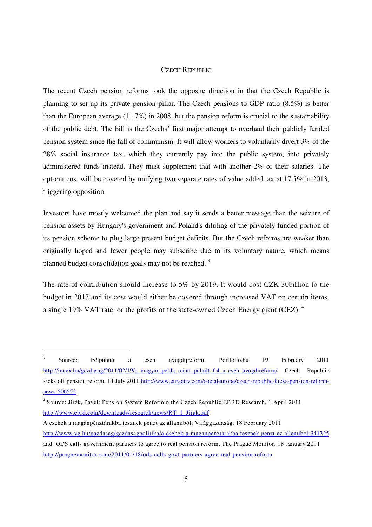# CZECH REPUBLIC

The recent Czech pension reforms took the opposite direction in that the Czech Republic is planning to set up its private pension pillar. The Czech pensions-to-GDP ratio (8.5%) is better than the European average (11.7%) in 2008, but the pension reform is crucial to the sustainability of the public debt. The bill is the Czechs' first major attempt to overhaul their publicly funded pension system since the fall of communism. It will allow workers to voluntarily divert 3% of the 28% social insurance tax, which they currently pay into the public system, into privately administered funds instead. They must supplement that with another 2% of their salaries. The opt-out cost will be covered by unifying two separate rates of value added tax at 17.5% in 2013, triggering opposition.

Investors have mostly welcomed the plan and say it sends a better message than the seizure of pension assets by Hungary's government and Poland's diluting of the privately funded portion of its pension scheme to plug large present budget deficits. But the Czech reforms are weaker than originally hoped and fewer people may subscribe due to its voluntary nature, which means planned budget consolidation goals may not be reached.<sup>3</sup>

The rate of contribution should increase to 5% by 2019. It would cost CZK 30billion to the budget in 2013 and its cost would either be covered through increased VAT on certain items, a single 19% VAT rate, or the profits of the state-owned Czech Energy giant (CEZ).  $4$ 

<sup>3</sup> Source: Fölpuhult a cseh nyugdíjreform. Portfolio.hu 19 February 2011 http://index.hu/gazdasag/2011/02/19/a magyar pelda miatt puhult fol a cseh nyugdireform/ Czech Republic kicks off pension reform, 14 July 2011 http://www.euractiv.com/socialeurope/czech-republic-kicks-pension-reformnews-506552

<sup>4</sup> Source: Jirák, Pavel: Pension System Reformin the Czech Republic EBRD Research, 1 April 2011 http://www.ebrd.com/downloads/research/news/RT\_1\_Jirak.pdf

A csehek a magánpénztárakba tesznek pénzt az államiból, Világgazdaság, 18 February 2011 http://www.vg.hu/gazdasag/gazdasagpolitika/a-csehek-a-maganpenztarakba-tesznek-penzt-az-allamibol-341325 and ODS calls government partners to agree to real pension reform, The Prague Monitor, 18 January 2011 http://praguemonitor.com/2011/01/18/ods-calls-govt-partners-agree-real-pension-reform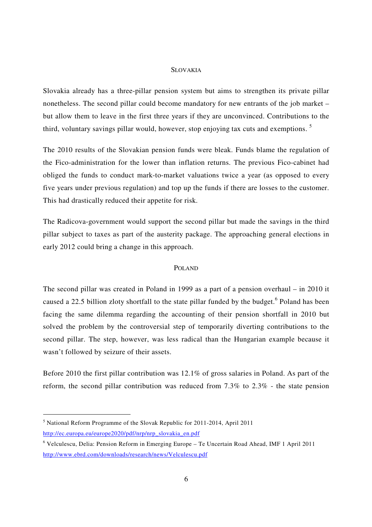### SLOVAKIA

Slovakia already has a three-pillar pension system but aims to strengthen its private pillar nonetheless. The second pillar could become mandatory for new entrants of the job market – but allow them to leave in the first three years if they are unconvinced. Contributions to the third, voluntary savings pillar would, however, stop enjoying tax cuts and exemptions.<sup>5</sup>

The 2010 results of the Slovakian pension funds were bleak. Funds blame the regulation of the Fico-administration for the lower than inflation returns. The previous Fico-cabinet had obliged the funds to conduct mark-to-market valuations twice a year (as opposed to every five years under previous regulation) and top up the funds if there are losses to the customer. This had drastically reduced their appetite for risk.

The Radicova-government would support the second pillar but made the savings in the third pillar subject to taxes as part of the austerity package. The approaching general elections in early 2012 could bring a change in this approach.

# POLAND

The second pillar was created in Poland in 1999 as a part of a pension overhaul – in 2010 it caused a 22.5 billion zloty shortfall to the state pillar funded by the budget. <sup>6</sup> Poland has been facing the same dilemma regarding the accounting of their pension shortfall in 2010 but solved the problem by the controversial step of temporarily diverting contributions to the second pillar. The step, however, was less radical than the Hungarian example because it wasn't followed by seizure of their assets.

Before 2010 the first pillar contribution was 12.1% of gross salaries in Poland. As part of the reform, the second pillar contribution was reduced from 7.3% to 2.3% - the state pension

<sup>&</sup>lt;sup>5</sup> National Reform Programme of the Slovak Republic for 2011-2014, April 2011 http://ec.europa.eu/europe2020/pdf/nrp/nrp\_slovakia\_en.pdf

<sup>6</sup> Velculescu, Delia: Pension Reform in Emerging Europe – Te Uncertain Road Ahead, IMF 1 April 2011 http://www.ebrd.com/downloads/research/news/Velculescu.pdf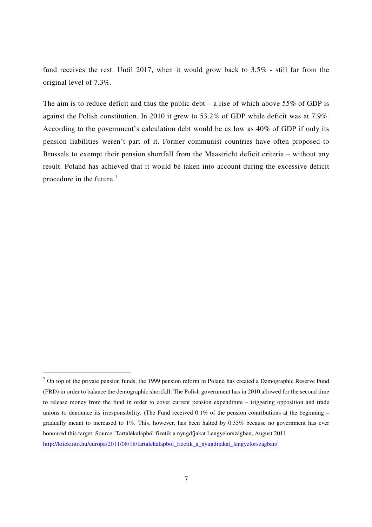fund receives the rest. Until 2017, when it would grow back to 3.5% - still far from the original level of 7.3%.

The aim is to reduce deficit and thus the public debt – a rise of which above  $55\%$  of GDP is against the Polish constitution. In 2010 it grew to 53.2% of GDP while deficit was at 7.9%. According to the government's calculation debt would be as low as 40% of GDP if only its pension liabilities weren't part of it. Former communist countries have often proposed to Brussels to exempt their pension shortfall from the Maastricht deficit criteria – without any result. Poland has achieved that it would be taken into account during the excessive deficit procedure in the future.<sup>7</sup>

 $<sup>7</sup>$  On top of the private pension funds, the 1999 pension reform in Poland has created a Demographic Reserve Fund</sup> (FRD) in order to balance the demographic shortfall. The Polish government has in 2010 allowed for the second time to release money from the fund in order to cover current pension expenditure – triggering opposition and trade unions to denounce its irresponsibility. (The Fund received  $0.1\%$  of the pension contributions at the beginning – gradually meant to increased to 1%. This, however, has been halted by 0.35% because no government has ever honoured this target. Source: Tartalékalapból fizetik a nyugdíjakat Lengyelországban, August 2011 http://kitekinto.hu/europa/2011/08/18/tartalekalapbol\_fizetik\_a\_nyugdijakat\_lengyelorszagban/